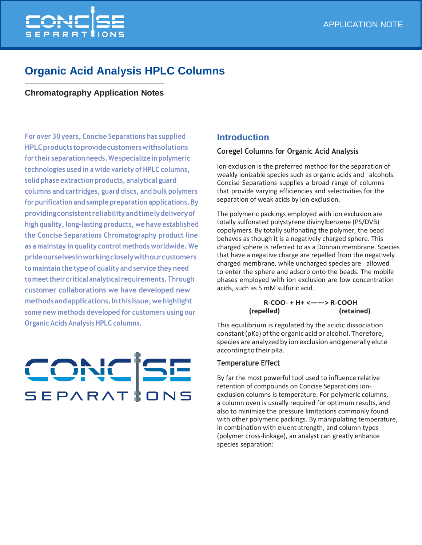

# **Organic Acid Analysis HPLC Columns**

## **Chromatography Application Notes**

**For over 30 years, Concise Separations has supplied HPLCproductstoprovidecustomerswithsolutions for their separationneeds.Wespecializeinpolymeric technologies used in a wide variety of HPLC columns, solid phase extraction products, analytical guard columns and cartridges, guard discs, and bulk polymers for purification and sample preparation applications. By providingconsistentreliabilityandtimelydeliveryof high quality, long-lasting products, we have established the Concise Separations Chromatography product line as a mainstay in quality control methods worldwide. We prideourselvesinworkingcloselywithourcustomers to maintain the type of quality and service they need tomeettheircriticalanalytical requirements.Through customer collaborations we have developed new methodsandapplications.Inthisissue,wehighlight some new methods developed for customers using our Organic Acids Analysis HPLC columns.**

# CONCISE SEPARATION

# **Introduction**

#### **Coregel Columns for Organic Acid Analysis**

Ion exclusion is the preferred method for the separation of weakly ionizable species such as organic acids and alcohols. Concise Separations supplies a broad range of columns that provide varying efficiencies and selectivities for the separation of weak acids by ion exclusion.

The polymeric packings employed with ion exclusion are totally sulfonated polystyrene divinylbenzene (PS/DVB) copolymers. By totally sulfonating the polymer, the bead behaves as though it is a negatively charged sphere. This charged sphere is referred to as a Donnan membrane. Species that have a negative charge are repelled from the negatively charged membrane, while uncharged species are allowed to enter the sphere and adsorb onto the beads. The mobile phases employed with ion exclusion are low concentration acids, such as 5 mM sulfuric acid.

#### **R-COO- + H+ <——> R-COOH (repelled) (retained)**

This equilibrium is regulated by the acidic dissociation constant (pKa) of the organic acid or alcohol. Therefore, species are analyzed by ion exclusion and generally elute according to their pKa.

#### **Temperature Effect**

By far the most powerful tool used to influence relative retention of compounds on Concise Separations ionexclusion columns is temperature. For polymeric columns, a column oven is usually required for optimum results, and also to minimize the pressure limitations commonly found with other polymeric packings. By manipulating temperature, in combination with eluent strength, and column types (polymer cross-linkage), an analyst can greatly enhance species separation: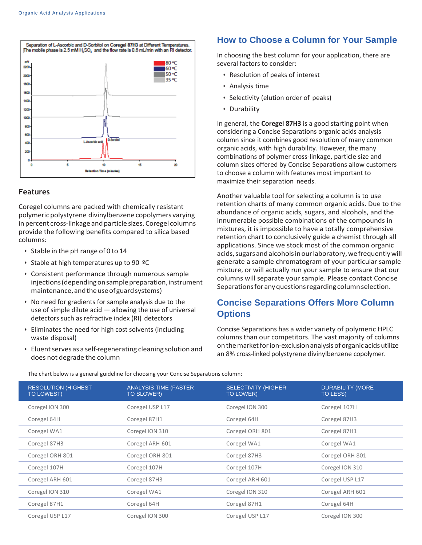

#### **Features**

Coregel columns are packed with chemically resistant polymeric polystyrene divinylbenzene copolymers varying in percent cross-linkage and particle sizes. Coregel columns provide the following benefits compared to silica based columns:

- Stable in the pH range of 0 to 14
- Stable at high temperatures up to 90 ºC
- Consistent performance through numerous sample injections (depending on sample preparation, instrument maintenance, and the use of guard systems)
- No need for gradients for sample analysis due to the use of simple dilute acid — allowing the use of universal detectors such as refractive index (RI) detectors
- Eliminates the need for high cost solvents (including waste disposal)
- $\cdot$  Eluent serves as a self-regenerating cleaning solution and does not degrade the column

#### **How to Choose a Column for Your Sample**

In choosing the best column for your application, there are several factors to consider:

- Resolution of peaks of interest
- Analysis time
- Selectivity (elution order of peaks)
- Durability

In general, the **Coregel 87H3** is a good starting point when considering a Concise Separations organic acids analysis column since it combines good resolution of many common organic acids, with high durability. However, the many combinations of polymer cross-linkage, particle size and column sizes offered by Concise Separations allow customers to choose a column with features most important to maximize their separation needs.

Another valuable tool for selecting a column is to use retention charts of many common organic acids. Due to the abundance of organic acids, sugars, and alcohols, and the innumerable possible combinations of the compounds in mixtures, it is impossible to have a totally comprehensive retention chart to conclusively guide a chemist through all applications. Since we stock most of the common organic acids, sugars and alcohols in our laboratory, we frequently will generate a sample chromatogram of your particular sample mixture, or will actually run your sample to ensure that our columns will separate your sample. Please contact Concise Separations for any questions regarding column selection.

# **Concise Separations Offers More Column Options**

Concise Separations has a wider variety of polymeric HPLC columns than our competitors. The vast majority of columns onthemarketforion-exclusionanalysisoforganicacidsutilize an 8% cross-linked polystyrene divinylbenzene copolymer.

| <b>RESOLUTION (HIGHEST)</b><br><b>TO LOWEST)</b> | <b>ANALYSIS TIME (FASTER)</b><br><b>TO SLOWER)</b> | <b>SELECTIVITY (HIGHER)</b><br>TO LOWER) | <b>DURABILITY (MORE</b><br>TO LESS) |
|--------------------------------------------------|----------------------------------------------------|------------------------------------------|-------------------------------------|
| Coregel ION 300                                  | Coregel USP L17                                    | Coregel ION 300                          | Coregel 107H                        |
| Coregel 64H                                      | Coregel 87H1                                       | Coregel 64H                              | Coregel 87H3                        |
| Coregel WA1                                      | Coregel ION 310                                    | Coregel ORH 801                          | Coregel 87H1                        |
| Coregel 87H3                                     | Coregel ARH 601                                    | Coregel WA1                              | Coregel WA1                         |
| Coregel ORH 801                                  | Coregel ORH 801                                    | Coregel 87H3                             | Coregel ORH 801                     |
| Coregel 107H                                     | Coregel 107H                                       | Coregel 107H                             | Coregel ION 310                     |
| Coregel ARH 601                                  | Coregel 87H3                                       | Coregel ARH 601                          | Coregel USP L17                     |
| Coregel ION 310                                  | Coregel WA1                                        | Coregel ION 310                          | Coregel ARH 601                     |
| Coregel 87H1                                     | Coregel 64H                                        | Coregel 87H1                             | Coregel 64H                         |
| Coregel USP L17                                  | Coregel ION 300                                    | Coregel USP L17                          | Coregel ION 300                     |

The chart below is a general guideline for choosing your Concise Separations column: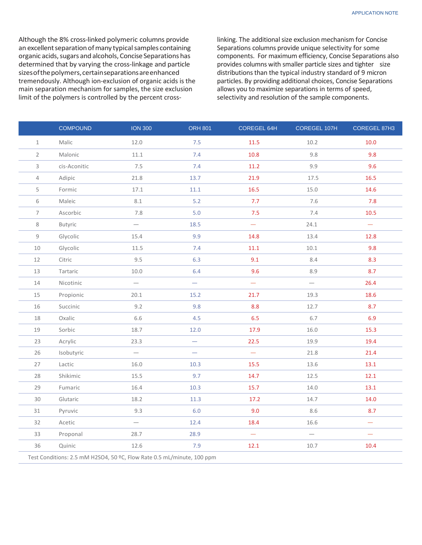Although the 8% cross-linked polymeric columns provide an excellent separation of many typical samples containing organic acids, sugars and alcohols, Concise Separations has determined that by varying the cross-linkage and particle sizesofthepolymers,certainseparationsareenhanced tremendously. Although ion-exclusion of organic acids is the main separation mechanism for samples, the size exclusion limit of the polymers is controlled by the percent crosslinking. The additional size exclusion mechanism for Concise Separations columns provide unique selectivity for some components. For maximum efficiency, Concise Separations also provides columns with smaller particle sizes and tighter size distributions than the typical industry standard of 9 micron particles. By providing additional choices, Concise Separations allows you to maximize separations in terms of speed, selectivity and resolution of the sample components.

|                | <b>COMPOUND</b>                                                        | <b>ION 300</b>           | <b>ORH 801</b>           | COREGEL 64H | COREGEL 107H             | COREGEL 87H3             |  |  |
|----------------|------------------------------------------------------------------------|--------------------------|--------------------------|-------------|--------------------------|--------------------------|--|--|
| $\mathbf 1$    | Malic                                                                  | 12.0                     | 7.5                      | 11.5        | 10.2                     | 10.0                     |  |  |
| $\overline{2}$ | Malonic                                                                | 11.1                     | 7.4                      | 10.8        | 9.8                      | 9.8                      |  |  |
| $\mathsf{3}$   | cis-Aconitic                                                           | 7.5                      | 7.4                      | 11.2        | 9.9                      | 9.6                      |  |  |
| $\overline{4}$ | Adipic                                                                 | 21.8                     | 13.7                     | 21.9        | 17.5                     | 16.5                     |  |  |
| 5              | Formic                                                                 | 17.1                     | $11.1\,$                 | 16.5        | 15.0                     | 14.6                     |  |  |
| 6              | Maleic                                                                 | 8.1                      | $5.2$                    | 7.7         | 7.6                      | 7.8                      |  |  |
| $\overline{7}$ | Ascorbic                                                               | 7.8                      | 5.0                      | 7.5         | 7.4                      | 10.5                     |  |  |
| 8              | Butyric                                                                | $\qquad \qquad -$        | 18.5                     | -           | 24.1                     | $\overline{\phantom{0}}$ |  |  |
| $\mathsf g$    | Glycolic                                                               | 15.4                     | 9.9                      | 14.8        | 13.4                     | 12.8                     |  |  |
| $10\,$         | Glycolic                                                               | 11.5                     | 7.4                      | 11.1        | 10.1                     | 9.8                      |  |  |
| $12\,$         | Citric                                                                 | 9.5                      | 6.3                      | 9.1         | 8.4                      | 8.3                      |  |  |
| 13             | Tartaric                                                               | 10.0                     | 6.4                      | 9.6         | 8.9                      | 8.7                      |  |  |
| $14\,$         | Nicotinic                                                              | $\qquad \qquad -$        | $\overline{\phantom{0}}$ | -           | $\overline{\phantom{0}}$ | 26.4                     |  |  |
| 15             | Propionic                                                              | 20.1                     | 15.2                     | 21.7        | 19.3                     | 18.6                     |  |  |
| 16             | Succinic                                                               | 9.2                      | 9.8                      | 8.8         | 12.7                     | 8.7                      |  |  |
| 18             | Oxalic                                                                 | 6.6                      | 4.5                      | 6.5         | 6.7                      | 6.9                      |  |  |
| 19             | Sorbic                                                                 | 18.7                     | 12.0                     | 17.9        | 16.0                     | 15.3                     |  |  |
| 23             | Acrylic                                                                | 23.3                     | $\overline{\phantom{0}}$ | 22.5        | 19.9                     | 19.4                     |  |  |
| 26             | Isobutyric                                                             | $\overline{\phantom{0}}$ | $\overline{\phantom{0}}$ | $\equiv$    | 21.8                     | 21.4                     |  |  |
| 27             | Lactic                                                                 | 16.0                     | 10.3                     | 15.5        | 13.6                     | 13.1                     |  |  |
| 28             | Shikimic                                                               | 15.5                     | 9.7                      | 14.7        | 12.5                     | 12.1                     |  |  |
| 29             | Fumaric                                                                | 16.4                     | $10.3$                   | 15.7        | 14.0                     | 13.1                     |  |  |
| 30             | Glutaric                                                               | 18.2                     | $11.3$                   | 17.2        | 14.7                     | 14.0                     |  |  |
| 31             | Pyruvic                                                                | 9.3                      | 6.0                      | 9.0         | 8.6                      | 8.7                      |  |  |
| 32             | Acetic                                                                 |                          | 12.4                     | 18.4        | 16.6                     | $\overline{\phantom{0}}$ |  |  |
| 33             | Proponal                                                               | 28.7                     | 28.9                     | -           | $\overline{\phantom{0}}$ | $\overline{\phantom{0}}$ |  |  |
| 36             | Quinic                                                                 | 12.6                     | 7.9                      | 12.1        | 10.7                     | 10.4                     |  |  |
|                | Test Conditions: 2.5 mM H2SO4, 50 °C, Flow Rate 0.5 mL/minute, 100 ppm |                          |                          |             |                          |                          |  |  |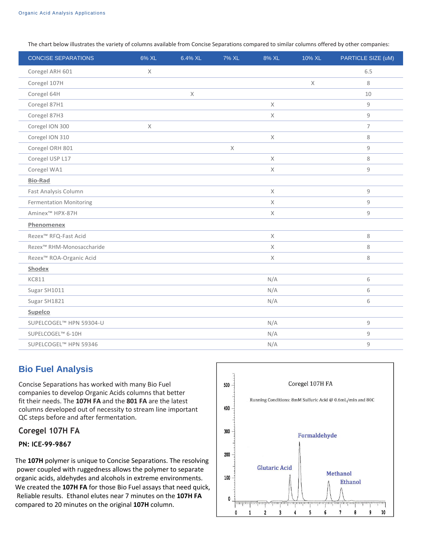The chart below illustrates the variety of columns available from Concise Separations compared to similar columns offered by other companies:

| <b>CONCISE SEPARATIONS</b>          | 6% XL       | 6.4% XL     | 7% XL       | 8% XL       | 10% XL      | PARTICLE SIZE (uM) |
|-------------------------------------|-------------|-------------|-------------|-------------|-------------|--------------------|
| Coregel ARH 601                     | $\mathsf X$ |             |             |             |             | 6.5                |
| Coregel 107H                        |             |             |             |             | $\mathsf X$ | 8                  |
| Coregel 64H                         |             | $\mathsf X$ |             |             |             | 10                 |
| Coregel 87H1                        |             |             |             | $\times$    |             | 9                  |
| Coregel 87H3                        |             |             |             | $\mathsf X$ |             | 9                  |
| Coregel ION 300                     | $\mathsf X$ |             |             |             |             | $\overline{7}$     |
| Coregel ION 310                     |             |             |             | $\times$    |             | 8                  |
| Coregel ORH 801                     |             |             | $\mathsf X$ |             |             | 9                  |
| Coregel USP L17                     |             |             |             | $\times$    |             | 8                  |
| Coregel WA1                         |             |             |             | $\times$    |             | 9                  |
| <b>Bio-Rad</b>                      |             |             |             |             |             |                    |
| Fast Analysis Column                |             |             |             | $\times$    |             | 9                  |
| <b>Fermentation Monitoring</b>      |             |             |             | $\times$    |             | 9                  |
| Aminex <sup>™</sup> HPX-87H         |             |             |             | X           |             | 9                  |
| Phenomenex                          |             |             |             |             |             |                    |
| Rezex <sup>™</sup> RFQ-Fast Acid    |             |             |             | $\times$    |             | 8                  |
| Rezex™ RHM-Monosaccharide           |             |             |             | $\times$    |             | 8                  |
| Rezex <sup>™</sup> ROA-Organic Acid |             |             |             | $\times$    |             | 8                  |
| Shodex                              |             |             |             |             |             |                    |
| <b>KC811</b>                        |             |             |             | N/A         |             | 6                  |
| Sugar SH1011                        |             |             |             | N/A         |             | 6                  |
| Sugar SH1821                        |             |             |             | N/A         |             | 6                  |
| Supelco                             |             |             |             |             |             |                    |
| SUPELCOGEL™ HPN 59304-U             |             |             |             | N/A         |             | 9                  |
| SUPELCOGEL™ 6-10H                   |             |             |             | N/A         |             | 9                  |
| SUPELCOGEL™ HPN 59346               |             |             |             | N/A         |             | 9                  |

# **Bio Fuel Analysis**

Concise Separations has worked with many Bio Fuel companies to develop Organic Acids columns that better fit their needs. The **107H FA** and the **801 FA** are the latest columns developed out of necessity to stream line important QC steps before and after fermentation.

#### **Coregel 107H FA**

#### **PN: ICE-99-9867**

The **107H** polymer is unique to Concise Separations. The resolving power coupled with ruggedness allows the polymer to separate organic acids, aldehydes and alcohols in extreme environments. We created the **107H FA** for those Bio Fuel assays that need quick, Reliable results. Ethanol elutes near 7 minutes on the **107H FA** compared to 20 minutes on the original **107H** column.

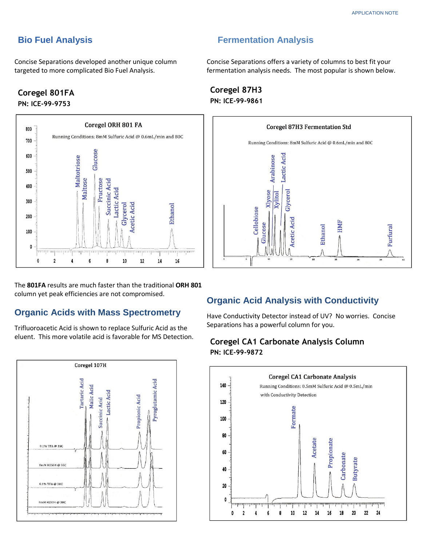#### **Bio Fuel Analysis**

Concise Separations developed another unique column targeted to more complicated Bio Fuel Analysis.

#### **Coregel 801FA PN: ICE-99-9753**



The **801FA** results are much faster than the traditional **ORH 801** column yet peak efficiencies are not compromised.

#### **Organic Acids with Mass Spectrometry**

Trifluoroacetic Acid is shown to replace Sulfuric Acid as the eluent. This more volatile acid is favorable for MS Detection.



# **Fermentation Analysis**

Concise Separations offers a variety of columns to best fit your fermentation analysis needs. The most popular is shown below.





#### **Organic Acid Analysis with Conductivity**

Have Conductivity Detector instead of UV? No worries. Concise Separations has a powerful column for you.

#### **Coregel CA1 Carbonate Analysis Column PN: ICE-99-9872**